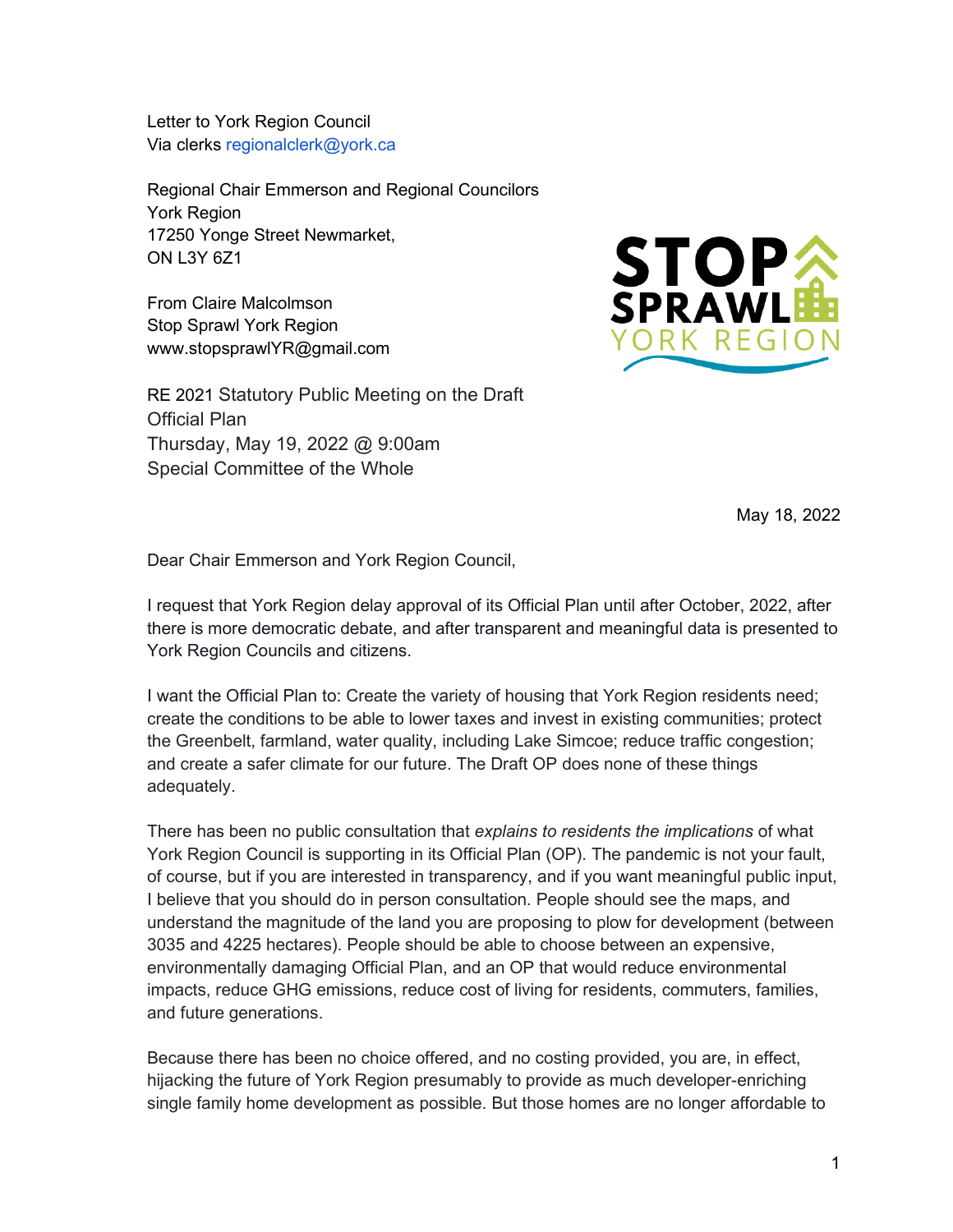Letter to York Region Council Via clerks regionalclerk@york.ca

Regional Chair Emmerson and Regional Councilors York Region 17250 Yonge Street Newmarket, ON L3Y 6Z1

From Claire Malcolmson Stop Sprawl York Region www.stopsprawlYR@gmail.com



RE 2021 Statutory Public Meeting on the Draft Official Plan Thursday, May 19, 2022 @ 9:00am Special Committee of the Whole

May 18, 2022

Dear Chair Emmerson and York Region Council,

I request that York Region delay approval of its Official Plan until after October, 2022, after there is more democratic debate, and after transparent and meaningful data is presented to York Region Councils and citizens.

I want the Official Plan to: Create the variety of housing that York Region residents need; create the conditions to be able to lower taxes and invest in existing communities; protect the Greenbelt, farmland, water quality, including Lake Simcoe; reduce traffic congestion; and create a safer climate for our future. The Draft OP does none of these things adequately.

There has been no public consultation that *explains to residents the implications* of what York Region Council is supporting in its Official Plan (OP). The pandemic is not your fault, of course, but if you are interested in transparency, and if you want meaningful public input, I believe that you should do in person consultation. People should see the maps, and understand the magnitude of the land you are proposing to plow for development (between 3035 and 4225 hectares). People should be able to choose between an expensive, environmentally damaging Official Plan, and an OP that would reduce environmental impacts, reduce GHG emissions, reduce cost of living for residents, commuters, families, and future generations.

Because there has been no choice offered, and no costing provided, you are, in effect, hijacking the future of York Region presumably to provide as much developer-enriching single family home development as possible. But those homes are no longer affordable to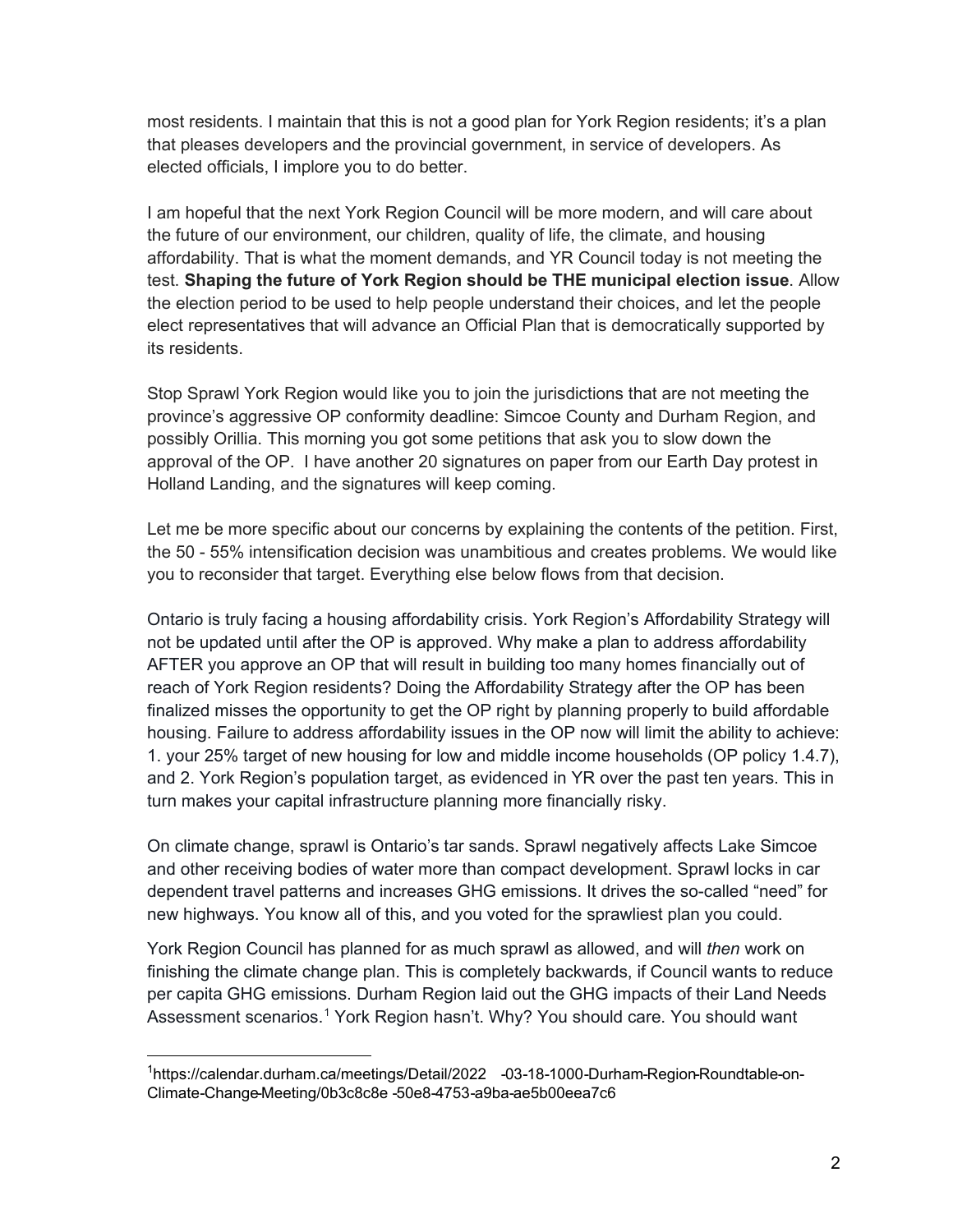most residents. I maintain that this is not a good plan for York Region residents; it's a plan that pleases developers and the provincial government, in service of developers. As elected officials, I implore you to do better.

I am hopeful that the next York Region Council will be more modern, and will care about the future of our environment, our children, quality of life, the climate, and housing affordability. That is what the moment demands, and YR Council today is not meeting the test. **Shaping the future of York Region should be THE municipal election issue**. Allow the election period to be used to help people understand their choices, and let the people elect representatives that will advance an Official Plan that is democratically supported by its residents.

Stop Sprawl York Region would like you to join the jurisdictions that are not meeting the province's aggressive OP conformity deadline: Simcoe County and Durham Region, and possibly Orillia. This morning you got some petitions that ask you to slow down the approval of the OP. I have another 20 signatures on paper from our Earth Day protest in Holland Landing, and the signatures will keep coming.

Let me be more specific about our concerns by explaining the contents of the petition. First, the 50 - 55% intensification decision was unambitious and creates problems. We would like you to reconsider that target. Everything else below flows from that decision.

Ontario is truly facing a housing affordability crisis. York Region's Affordability Strategy will not be updated until after the OP is approved. Why make a plan to address affordability AFTER you approve an OP that will result in building too many homes financially out of reach of York Region residents? Doing the Affordability Strategy after the OP has been finalized misses the opportunity to get the OP right by planning properly to build affordable housing. Failure to address affordability issues in the OP now will limit the ability to achieve: 1. your 25% target of new housing for low and middle income households (OP policy 1.4.7), and 2. York Region's population target, as evidenced in YR over the past ten years. This in turn makes your capital infrastructure planning more financially risky.

On climate change, sprawl is Ontario's tar sands. Sprawl negatively affects Lake Simcoe and other receiving bodies of water more than compact development. Sprawl locks in car dependent travel patterns and increases GHG emissions. It drives the so-called "need" for new highways. You know all of this, and you voted for the sprawliest plan you could.

York Region Council has planned for as much sprawl as allowed, and will *then* work on finishing the climate change plan. This is completely backwards, if Council wants to reduce per capita GHG emissions. Durham Region laid out the GHG impacts of their Land Needs Assessment scenarios.<sup>[1](#page-1-0)</sup> York Region hasn't. Why? You should care. You should want

<span id="page-1-0"></span><sup>&</sup>lt;sup>1</sup>https://calendar.durham.ca/meetings/Detail/2022 -03-18-1000-Durham-Region-Roundtable-on-Climate-Change-Meeting/0b3c8c8e -50e8-4753-a9ba-ae5b00eea7c6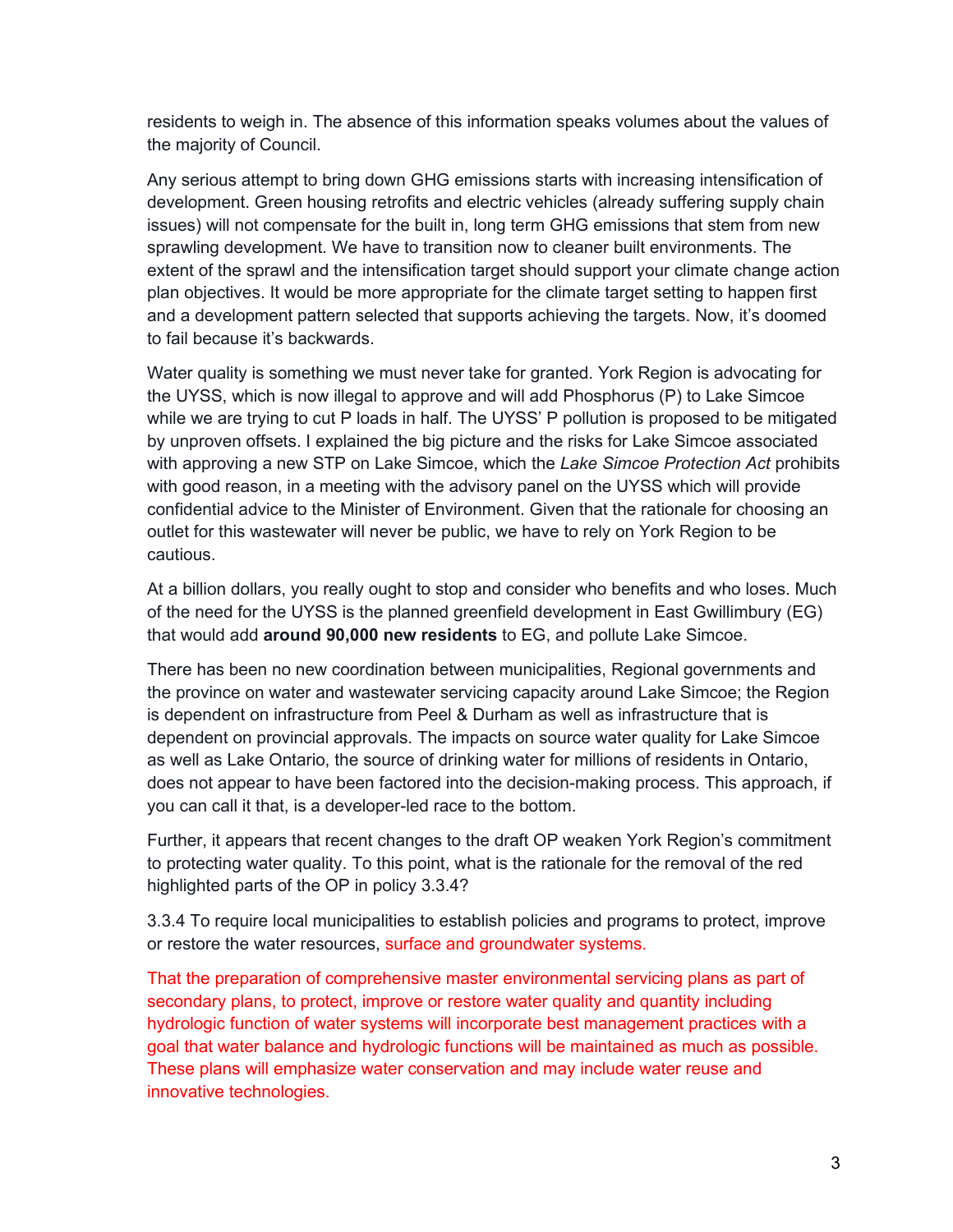residents to weigh in. The absence of this information speaks volumes about the values of the majority of Council.

Any serious attempt to bring down GHG emissions starts with increasing intensification of development. Green housing retrofits and electric vehicles (already suffering supply chain issues) will not compensate for the built in, long term GHG emissions that stem from new sprawling development. We have to transition now to cleaner built environments. The extent of the sprawl and the intensification target should support your climate change action plan objectives. It would be more appropriate for the climate target setting to happen first and a development pattern selected that supports achieving the targets. Now, it's doomed to fail because it's backwards.

Water quality is something we must never take for granted. York Region is advocating for the UYSS, which is now illegal to approve and will add Phosphorus (P) to Lake Simcoe while we are trying to cut P loads in half. The UYSS' P pollution is proposed to be mitigated by unproven offsets. I explained the big picture and the risks for Lake Simcoe associated with approving a new STP on Lake Simcoe, which the *Lake Simcoe Protection Act* prohibits with good reason, in a meeting with the advisory panel on the UYSS which will provide confidential advice to the Minister of Environment. Given that the rationale for choosing an outlet for this wastewater will never be public, we have to rely on York Region to be cautious.

At a billion dollars, you really ought to stop and consider who benefits and who loses. Much of the need for the UYSS is the planned greenfield development in East Gwillimbury (EG) that would add **around 90,000 new residents** to EG, and pollute Lake Simcoe.

There has been no new coordination between municipalities, Regional governments and the province on water and wastewater servicing capacity around Lake Simcoe; the Region is dependent on infrastructure from Peel & Durham as well as infrastructure that is dependent on provincial approvals. The impacts on source water quality for Lake Simcoe as well as Lake Ontario, the source of drinking water for millions of residents in Ontario, does not appear to have been factored into the decision-making process. This approach, if you can call it that, is a developer-led race to the bottom.

Further, it appears that recent changes to the draft OP weaken York Region's commitment to protecting water quality. To this point, what is the rationale for the removal of the red highlighted parts of the OP in policy 3.3.4?

3.3.4 To require local municipalities to establish policies and programs to protect, improve or restore the water resources, surface and groundwater systems.

That the preparation of comprehensive master environmental servicing plans as part of secondary plans, to protect, improve or restore water quality and quantity including hydrologic function of water systems will incorporate best management practices with a goal that water balance and hydrologic functions will be maintained as much as possible. These plans will emphasize water conservation and may include water reuse and innovative technologies.